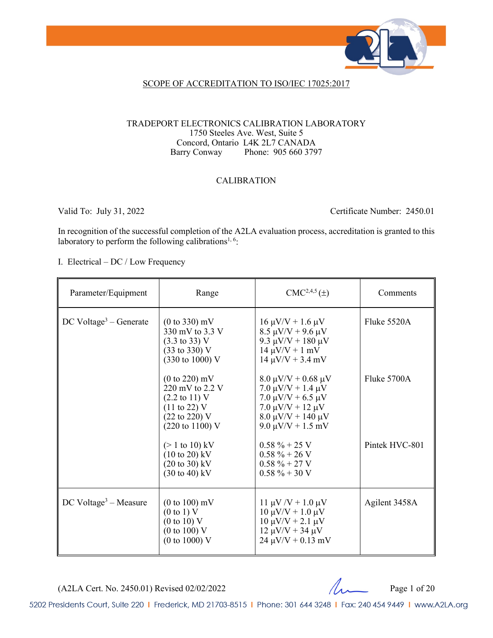

### SCOPE OF ACCREDITATION TO ISO/IEC 17025:2017

#### TRADEPORT ELECTRONICS CALIBRATION LABORATORY 1750 Steeles Ave. West, Suite 5 Concord, Ontario L4K 2L7 CANADA Barry Conway Phone: 905 660 3797

### CALIBRATION

Valid To: July 31, 2022 Certificate Number: 2450.01

In recognition of the successful completion of the A2LA evaluation process, accreditation is granted to this laboratory to perform the following calibrations<sup>1, 6</sup>:

I. Electrical – DC / Low Frequency

| Parameter/Equipment                  | Range                                                                                                                                                       | $CMC2,4,5(\pm)$                                                                                                                                                            | Comments       |
|--------------------------------------|-------------------------------------------------------------------------------------------------------------------------------------------------------------|----------------------------------------------------------------------------------------------------------------------------------------------------------------------------|----------------|
| $DC$ Voltage <sup>3</sup> – Generate | $(0 \text{ to } 330) \text{ mV}$<br>330 mV to 3.3 V<br>$(3.3 \text{ to } 33) \text{ V}$<br>$(33 \text{ to } 330) \text{ V}$<br>(330 to 1000) V              | $16 \mu V/V + 1.6 \mu V$<br>$8.5 \mu V/V + 9.6 \mu V$<br>9.3 $\mu$ V/V + 180 $\mu$ V<br>$14 \mu V/V + 1 mV$<br>$14 \mu V/V + 3.4 \ mV$                                     | Fluke 5520A    |
|                                      | $(0 to 220)$ mV<br>220 mV to 2.2 V<br>$(2.2 \text{ to } 11) \text{ V}$<br>$(11 \text{ to } 22)$ V<br>$(22 \text{ to } 220)$ V<br>$(220 \text{ to } 1100)$ V | $8.0 \mu V/V + 0.68 \mu V$<br>$7.0 \mu V/V + 1.4 \mu V$<br>$7.0 \mu V/V + 6.5 \mu V$<br>$7.0 \mu V/V + 12 \mu V$<br>$8.0 \mu V/V + 140 \mu V$<br>$9.0 \mu V/V + 1.5 \mu V$ | Fluke 5700A    |
|                                      | $(> 1 \text{ to } 10) \text{ kV}$<br>$(10 \text{ to } 20) \text{ kV}$<br>$(20 \text{ to } 30) \text{ kV}$<br>$(30 \text{ to } 40) \text{ kV}$               | $0.58 \% + 25 V$<br>$0.58 \% + 26 V$<br>$0.58 \% + 27 V$<br>$0.58 \% + 30 V$                                                                                               | Pintek HVC-801 |
| $DC$ Voltage <sup>3</sup> – Measure  | $(0 to 100)$ mV<br>$(0 \text{ to } 1)$ V<br>(0 to 10) V<br>$(0 \text{ to } 100)$ V<br>$(0 \text{ to } 1000)$ V                                              | $11 \mu V/V + 1.0 \mu V$<br>$10 \mu V/V + 1.0 \mu V$<br>$10 \mu V/V + 2.1 \mu V$<br>$12 \mu V/V + 34 \mu V$<br>$24 \mu V/V + 0.13 \ mV$                                    | Agilent 3458A  |

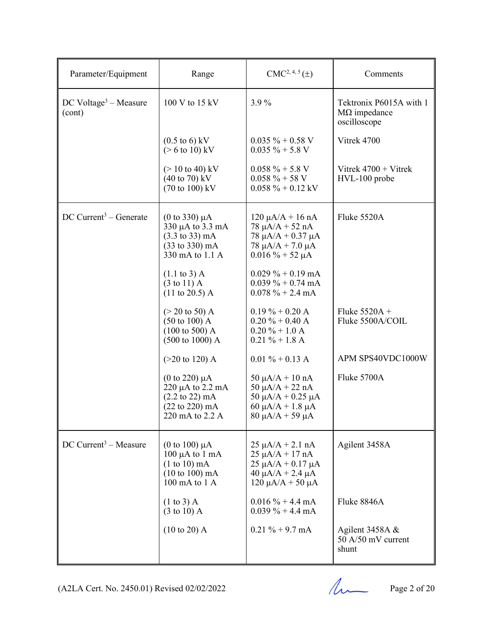| Parameter/Equipment                           | Range                                                                                                                                                  | $CMC2, 4, 5(\pm)$                                                                                                                          | Comments                                                       |
|-----------------------------------------------|--------------------------------------------------------------------------------------------------------------------------------------------------------|--------------------------------------------------------------------------------------------------------------------------------------------|----------------------------------------------------------------|
| $DC$ Voltage <sup>3</sup> – Measure<br>(cont) | 100 V to 15 kV                                                                                                                                         | 3.9%                                                                                                                                       | Tektronix P6015A with 1<br>$M\Omega$ impedance<br>oscilloscope |
|                                               | $(0.5 \text{ to } 6) \text{ kV}$<br>$($ > 6 to 10) kV                                                                                                  | $0.035 \% + 0.58 V$<br>$0.035 \% + 5.8 V$                                                                                                  | Vitrek 4700                                                    |
|                                               | $(> 10 \text{ to } 40) \text{ kV}$<br>$(40 \text{ to } 70) \text{ kV}$<br>$(70 \text{ to } 100) \text{ kV}$                                            | $0.058 \% + 5.8 V$<br>$0.058 \% + 58 V$<br>$0.058 \% + 0.12$ kV                                                                            | Vitrek $4700 + V$ itrek<br>HVL-100 probe                       |
| $DC$ Current <sup>3</sup> – Generate          | (0 to 330) $\mu$ A<br>330 µA to 3.3 mA<br>$(3.3 \text{ to } 33) \text{ mA}$<br>$(33 \text{ to } 330) \text{ mA}$<br>330 mA to 1.1 A                    | $120 \mu A/A + 16 nA$<br>$78 \mu A/A + 52 nA$<br>$78 \mu A/A + 0.37 \mu A$<br>$78 \mu A/A + 7.0 \mu A$<br>$0.016 \% + 52 \mu A$            | Fluke 5520A                                                    |
|                                               | $(1.1 \text{ to } 3)$ A<br>$(3 \text{ to } 11)$ A<br>$(11 \text{ to } 20.5)$ A                                                                         | $0.029 \% + 0.19$ mA<br>$0.039\% + 0.74 \text{ mA}$<br>$0.078 \% + 2.4 mA$                                                                 |                                                                |
|                                               | $(> 20 \text{ to } 50)$ A<br>$(50 \text{ to } 100)$ A<br>$(100 \text{ to } 500)$ A<br>$(500 \text{ to } 1000)$ A                                       | $0.19\% + 0.20\text{ A}$<br>$0.20 \% + 0.40 A$<br>$0.20 \% + 1.0 A$<br>$0.21 \% + 1.8 A$                                                   | Fluke $5520A +$<br>Fluke 5500A/COIL                            |
|                                               | $(>20 \text{ to } 120)$ A                                                                                                                              | $0.01 \% + 0.13 A$                                                                                                                         | APM SPS40VDC1000W                                              |
|                                               | $(0 \text{ to } 220) \mu A$<br>$220 \mu A$ to $2.2 \mu A$<br>$(2.2 \text{ to } 22) \text{ mA}$<br>$(22 \text{ to } 220) \text{ mA}$<br>220 mA to 2.2 A | $50 \mu A/A + 10 nA$<br>50 $\mu$ A/A + 22 nA<br>50 μA/A + 0.25 μA<br>60 $\mu$ A/A + 1.8 $\mu$ A<br>$80 \mu A/A + 59 \mu A$                 | Fluke 5700A                                                    |
| $DC$ Current <sup>3</sup> – Measure           | (0 to 100) $\mu$ A<br>$100 \mu A$ to $1 \text{ mA}$<br>$(1 to 10)$ mA<br>$(10 \text{ to } 100) \text{ mA}$<br>100 mA to 1 A                            | $25 \mu A/A + 2.1 \text{ nA}$<br>$25 \mu A/A + 17 nA$<br>$25 \mu A/A + 0.17 \mu A$<br>$40 \mu A/A + 2.4 \mu A$<br>$120 \mu A/A + 50 \mu A$ | Agilent 3458A                                                  |
|                                               | $(1 \text{ to } 3)$ A<br>$(3 \text{ to } 10)$ A                                                                                                        | $0.016 \% + 4.4 mA$<br>$0.039\% + 4.4 \text{ mA}$                                                                                          | Fluke 8846A                                                    |
|                                               | $(10 to 20)$ A                                                                                                                                         | $0.21 \% + 9.7 mA$                                                                                                                         | Agilent 3458A &<br>50 A/50 mV current<br>shunt                 |

 $(A2LA$  Cert. No. 2450.01) Revised 02/02/2022 Page 2 of 20

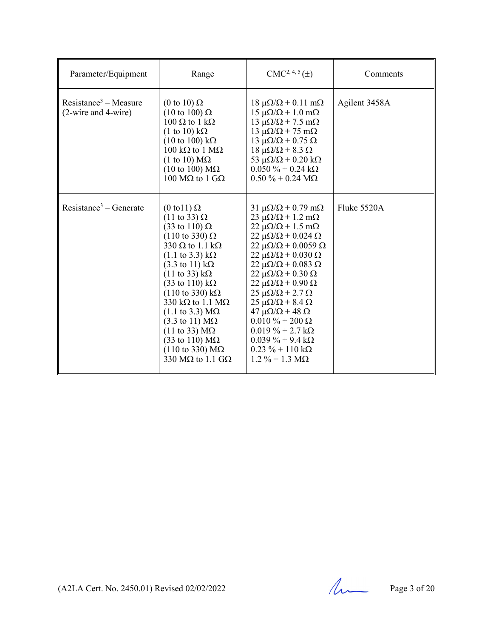| Parameter/Equipment                                              | Range                                                                                                                                                                                                                                                                                                                                                                                                                                                                                                                                                                                                                                                                         | $CMC2, 4, 5(\pm)$                                                                                                                                                                                                                                                                                                                                                                                                                                                                                                                                                                                                                                                    | Comments      |
|------------------------------------------------------------------|-------------------------------------------------------------------------------------------------------------------------------------------------------------------------------------------------------------------------------------------------------------------------------------------------------------------------------------------------------------------------------------------------------------------------------------------------------------------------------------------------------------------------------------------------------------------------------------------------------------------------------------------------------------------------------|----------------------------------------------------------------------------------------------------------------------------------------------------------------------------------------------------------------------------------------------------------------------------------------------------------------------------------------------------------------------------------------------------------------------------------------------------------------------------------------------------------------------------------------------------------------------------------------------------------------------------------------------------------------------|---------------|
| $Resistance3 - Measure$<br>$(2\text{-wire}$ and $4\text{-wire})$ | (0 to 10) $\Omega$<br>$(10 \text{ to } 100) \Omega$<br>$100 \Omega$ to $1 k\Omega$<br>$(1 \text{ to } 10) \text{ k}\Omega$<br>$(10 \text{ to } 100) \text{ k}\Omega$<br>$100 \text{ k}\Omega$ to $1 \text{ M}\Omega$<br>$(1 \text{ to } 10) \text{ M}\Omega$<br>$(10 \text{ to } 100) \text{ M}\Omega$<br>$100 \text{ M}\Omega$ to 1 GΩ                                                                                                                                                                                                                                                                                                                                       | $18 \mu\Omega/\Omega + 0.11 \text{ m}\Omega$<br>$15 \mu\Omega/\Omega + 1.0 \text{ m}\Omega$<br>$13 \mu\Omega/\Omega$ + 7.5 m $\Omega$<br>$13 \mu\Omega/\Omega + 75 \mu\Omega$<br>13 $\mu\Omega/\Omega$ + 0.75 $\Omega$<br>$18 \mu\Omega/\Omega$ + 8.3 $\Omega$<br>53 $\mu\Omega/\Omega$ + 0.20 k $\Omega$<br>$0.050\% + 0.24\ k\Omega$<br>$0.50 \% + 0.24 M\Omega$                                                                                                                                                                                                                                                                                                   | Agilent 3458A |
| $Resistance3 - Generate$                                         | $(0 \text{ to } 1) \Omega$<br>$(11 \text{ to } 33) \Omega$<br>$(33 \text{ to } 110) \Omega$<br>$(110 \text{ to } 330) \Omega$<br>330 $\Omega$ to 1.1 k $\Omega$<br>$(1.1 \text{ to } 3.3) \text{ k}\Omega$<br>$(3.3 \text{ to } 11) \text{ k}\Omega$<br>$(11 \text{ to } 33) \text{ k}\Omega$<br>$(33 \text{ to } 110) \text{ k}\Omega$<br>$(110 \text{ to } 330) \text{ k}\Omega$<br>330 k $\Omega$ to 1.1 M $\Omega$<br>$(1.1 \text{ to } 3.3) \text{ M}\Omega$<br>$(3.3 \text{ to } 11) \text{ M}\Omega$<br>$(11 \text{ to } 33) \text{ M}\Omega$<br>$(33 \text{ to } 110) \text{ M}\Omega$<br>$(110 \text{ to } 330) \text{ M}\Omega$<br>330 M $\Omega$ to 1.1 G $\Omega$ | $31 \mu\Omega/\Omega + 0.79 \text{ m}\Omega$<br>$23 \mu\Omega/\Omega + 1.2 \text{ m}\Omega$<br>$22 \mu\Omega/\Omega + 1.5 \text{ m}\Omega$<br>$22 \mu\Omega/\Omega + 0.024 \Omega$<br>$22 \mu\Omega/\Omega + 0.0059 \Omega$<br>$22 \mu\Omega/\Omega + 0.030 \Omega$<br>$22 \mu\Omega/\Omega + 0.083 \Omega$<br>$22 \mu\Omega/\Omega + 0.30 \Omega$<br>$22 \mu\Omega/\Omega$ + 0.90 $\Omega$<br>$25 \mu\Omega/\Omega$ + 2.7 $\Omega$<br>$25 \mu\Omega/\Omega$ + 8.4 $\Omega$<br>$47 \mu\Omega/\Omega + 48 \Omega$<br>$0.010\% + 200\Omega$<br>$0.019\% + 2.7 \text{ k}\Omega$<br>$0.039\% + 9.4 \text{ k}\Omega$<br>$0.23 \% + 110 k\Omega$<br>$1.2 \% + 1.3 M\Omega$ | Fluke 5520A   |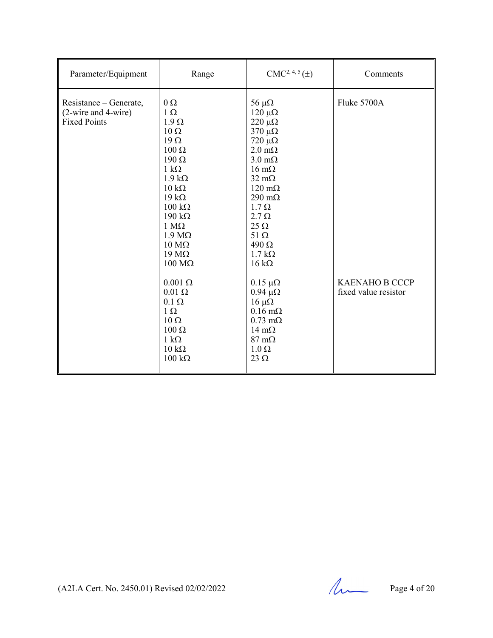| Parameter/Equipment                                                  | Range                                                                                                                                                                                                                                                                                                                                              | $CMC2, 4, 5(\pm)$                                                                                                                                                                                                                                                                                                                                        | Comments                                      |
|----------------------------------------------------------------------|----------------------------------------------------------------------------------------------------------------------------------------------------------------------------------------------------------------------------------------------------------------------------------------------------------------------------------------------------|----------------------------------------------------------------------------------------------------------------------------------------------------------------------------------------------------------------------------------------------------------------------------------------------------------------------------------------------------------|-----------------------------------------------|
| Resistance – Generate,<br>(2-wire and 4-wire)<br><b>Fixed Points</b> | $0\,\Omega$<br>$1 \Omega$<br>$1.9 \Omega$<br>$10 \Omega$<br>$19 \Omega$<br>$100 \Omega$<br>$190 \Omega$<br>$1 \text{ k}\Omega$<br>$1.9 k\Omega$<br>$10 \text{ k}\Omega$<br>$19 k\Omega$<br>$100 \text{ k}\Omega$<br>$190 \text{ k}\Omega$<br>$1 M\Omega$<br>$1.9 M\Omega$<br>$10 \text{ M}\Omega$<br>$19 \text{ M}\Omega$<br>$100 \text{ M}\Omega$ | $56 \mu\Omega$<br>$120 \mu\Omega$<br>$220 \mu\Omega$<br>$370 \mu\Omega$<br>$720 \mu\Omega$<br>$2.0 \text{ m}\Omega$<br>$3.0 \text{ m}\Omega$<br>$16 \text{ m}\Omega$<br>$32 \text{ mA}$<br>$120 \text{ m}\Omega$<br>$290 \text{ m}\Omega$<br>$1.7 \Omega$<br>$2.7 \Omega$<br>$25 \Omega$<br>$51 \Omega$<br>$490 \Omega$<br>$1.7 k\Omega$<br>$16 k\Omega$ | Fluke 5700A                                   |
|                                                                      | $0.001 \Omega$<br>$0.01 \Omega$<br>$0.1 \Omega$<br>$1\Omega$<br>$10 \Omega$<br>$100 \Omega$<br>$1 k\Omega$<br>$10 \text{ k}\Omega$<br>$100 \text{ k}\Omega$                                                                                                                                                                                        | $0.15 \mu\Omega$<br>$0.94 \mu\Omega$<br>$16 \mu\Omega$<br>$0.16 \text{ m}\Omega$<br>$0.73 \text{ m}\Omega$<br>$14 \text{ m}\Omega$<br>$87 \text{ m}\Omega$<br>$1.0 \Omega$<br>$23 \Omega$                                                                                                                                                                | <b>KAENAHO B CCCP</b><br>fixed value resistor |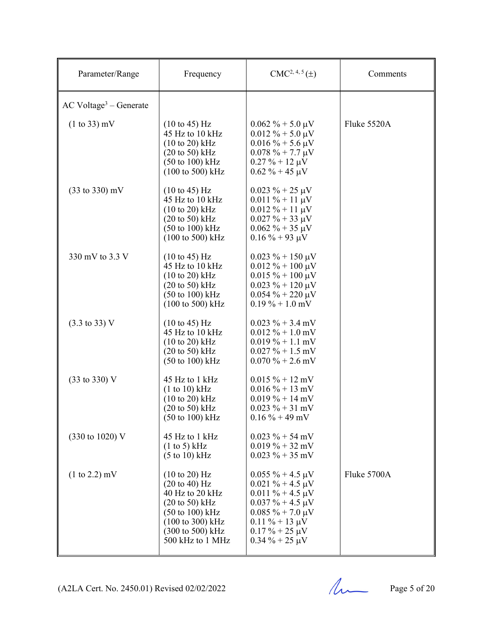| Parameter/Range                      | Frequency                                                                                                                                                                                                                         | $CMC2, 4, 5(\pm)$                                                                                                                                                                                      | Comments    |
|--------------------------------------|-----------------------------------------------------------------------------------------------------------------------------------------------------------------------------------------------------------------------------------|--------------------------------------------------------------------------------------------------------------------------------------------------------------------------------------------------------|-------------|
| $AC$ Voltage <sup>3</sup> – Generate |                                                                                                                                                                                                                                   |                                                                                                                                                                                                        |             |
| $(1 to 33)$ mV                       | $(10 \text{ to } 45)$ Hz<br>45 Hz to 10 kHz<br>$(10 \text{ to } 20) \text{ kHz}$<br>$(20 \text{ to } 50)$ kHz<br>$(50 \text{ to } 100) \text{ kHz}$<br>$(100 \text{ to } 500) \text{ kHz}$                                        | $0.062 \% + 5.0 \mu V$<br>$0.012 \% + 5.0 \mu V$<br>$0.016\% + 5.6 \,\mu\text{V}$<br>$0.078 \% + 7.7 \mu V$<br>$0.27 \% + 12 \mu V$<br>$0.62 \% + 45 \mu V$                                            | Fluke 5520A |
| $(33 \text{ to } 330) \text{ mV}$    | (10 to 45) Hz<br>45 Hz to 10 kHz<br>$(10 \text{ to } 20) \text{ kHz}$<br>$(20 \text{ to } 50) \text{ kHz}$<br>$(50 \text{ to } 100) \text{ kHz}$<br>(100 to 500) kHz                                                              | $0.023 \% + 25 \mu V$<br>$0.011\% + 11 \mu V$<br>$0.012 \% + 11 \mu V$<br>$0.027 \% + 33 \mu V$<br>$0.062 \% + 35 \mu V$<br>$0.16 \% + 93 \mu V$                                                       |             |
| 330 mV to 3.3 V                      | (10 to 45) Hz<br>45 Hz to 10 kHz<br>$(10 \text{ to } 20) \text{ kHz}$<br>$(20 \text{ to } 50)$ kHz<br>$(50 \text{ to } 100) \text{ kHz}$<br>$(100 \text{ to } 500) \text{ kHz}$                                                   | $0.023 \% + 150 \mu V$<br>$0.012 \% + 100 \mu V$<br>$0.015 \% + 100 \mu V$<br>$0.023 \% + 120 \mu V$<br>$0.054 \% + 220 \mu V$<br>$0.19\% + 1.0$ mV                                                    |             |
| $(3.3 \text{ to } 33) \text{ V}$     | $(10 \text{ to } 45)$ Hz<br>45 Hz to 10 kHz<br>$(10 to 20)$ kHz<br>$(20 \text{ to } 50) \text{ kHz}$<br>$(50 \text{ to } 100) \text{ kHz}$                                                                                        | $0.023 \% + 3.4$ mV<br>$0.012 \% + 1.0$ mV<br>$0.019\% + 1.1$ mV<br>$0.027 \% + 1.5$ mV<br>$0.070\% + 2.6$ mV                                                                                          |             |
| $(33 \text{ to } 330) \text{ V}$     | 45 Hz to 1 kHz<br>(1 to 10) kHz<br>$(10 \text{ to } 20) \text{ kHz}$<br>$(20 \text{ to } 50)$ kHz<br>$(50 \text{ to } 100) \text{ kHz}$                                                                                           | $0.015 \% + 12 mV$<br>$0.016\% + 13$ mV<br>$0.019\% + 14 \text{ mV}$<br>$0.023 \% + 31 mV$<br>$0.16\% + 49$ mV                                                                                         |             |
| (330 to 1020) V                      | 45 Hz to 1 kHz<br>(1 to 5) kHz<br>$(5 \text{ to } 10) \text{ kHz}$                                                                                                                                                                | $0.023 \% + 54 mV$<br>$0.019\% + 32 \text{ mV}$<br>$0.023 \% + 35$ mV                                                                                                                                  |             |
| $(1 to 2.2)$ mV                      | $(10 \text{ to } 20)$ Hz<br>$(20 \text{ to } 40) \text{ Hz}$<br>40 Hz to 20 kHz<br>$(20 \text{ to } 50)$ kHz<br>$(50 \text{ to } 100) \text{ kHz}$<br>$(100 \text{ to } 300) \text{ kHz}$<br>(300 to 500) kHz<br>500 kHz to 1 MHz | $0.055 \% + 4.5 \mu V$<br>$0.021 \% + 4.5 \mu V$<br>$0.011 \% + 4.5 \mu V$<br>$0.037 \% + 4.5 \mu V$<br>$0.085 \% + 7.0 \mu V$<br>$0.11 \% + 13 \mu V$<br>$0.17 \% + 25 \mu V$<br>$0.34 \% + 25 \mu V$ | Fluke 5700A |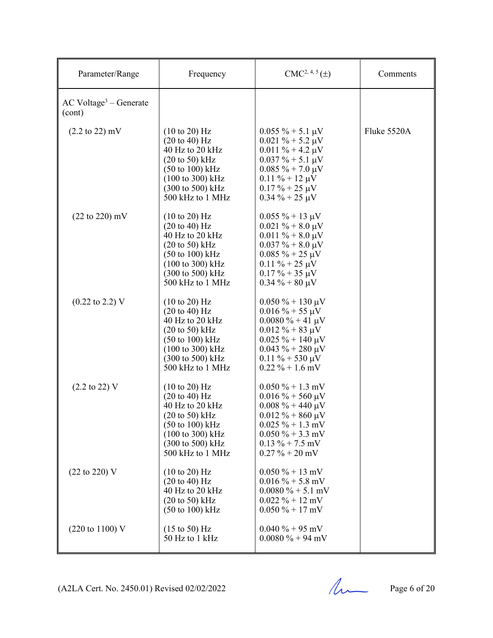| Parameter/Range                                | Frequency                                                                                                                                                                                                                                                    | $CMC2, 4, 5(\pm)$                                                                                                                                                                                          | Comments    |
|------------------------------------------------|--------------------------------------------------------------------------------------------------------------------------------------------------------------------------------------------------------------------------------------------------------------|------------------------------------------------------------------------------------------------------------------------------------------------------------------------------------------------------------|-------------|
| $AC$ Voltage <sup>3</sup> – Generate<br>(cont) |                                                                                                                                                                                                                                                              |                                                                                                                                                                                                            |             |
| $(2.2 \text{ to } 22) \text{ mV}$              | $(10 \text{ to } 20)$ Hz<br>$(20 \text{ to } 40) \text{ Hz}$<br>40 Hz to 20 kHz<br>$(20 \text{ to } 50)$ kHz<br>$(50 \text{ to } 100) \text{ kHz}$<br>$(100 \text{ to } 300) \text{ kHz}$<br>(300 to 500) kHz<br>500 kHz to 1 MHz                            | $0.055 \% + 5.1 \mu V$<br>$0.021 \% + 5.2 \mu V$<br>$0.011 \% + 4.2 \mu V$<br>$0.037 \% + 5.1 \mu V$<br>$0.085 \% + 7.0 \mu V$<br>$0.11 \% + 12 \mu V$<br>$0.17 \% + 25 \mu V$<br>$0.34 \% + 25 \mu V$     | Fluke 5520A |
| $(22 \text{ to } 220) \text{ mV}$              | $(10 \text{ to } 20)$ Hz<br>$(20 \text{ to } 40) \text{ Hz}$<br>40 Hz to 20 kHz<br>$(20 \text{ to } 50) \text{ kHz}$<br>$(50 \text{ to } 100) \text{ kHz}$<br>(100 to 300) kHz<br>(300 to 500) kHz<br>500 kHz to 1 MHz                                       | $0.055 \% + 13 \mu V$<br>$0.021 \% + 8.0 \mu V$<br>$0.011 \% + 8.0 \mu V$<br>$0.037 \% + 8.0 \mu V$<br>$0.085 \% + 25 \mu V$<br>$0.11 \% + 25 \mu V$<br>$0.17 \% + 35 \mu V$<br>$0.34 \% + 80 \mu V$       |             |
| $(0.22 \text{ to } 2.2) \text{ V}$             | $(10 \text{ to } 20)$ Hz<br>$(20 \text{ to } 40) \text{ Hz}$<br>40 Hz to 20 kHz<br>$(20 \text{ to } 50) \text{ kHz}$<br>$(50 \text{ to } 100) \text{ kHz}$<br>$(100 \text{ to } 300) \text{ kHz}$<br>$(300 \text{ to } 500) \text{ kHz}$<br>500 kHz to 1 MHz | $0.050\% + 130 \,\mu\text{V}$<br>$0.016\% + 55 \mu V$<br>$0.0080\% + 41 \mu V$<br>$0.012 \% + 83 \mu V$<br>$0.025 \% + 140 \mu V$<br>$0.043 \% + 280 \mu V$<br>$0.11 \% + 530 \mu V$<br>$0.22 \% + 1.6$ mV |             |
| $(2.2 \text{ to } 22) \text{ V}$               | $(10 \text{ to } 20)$ Hz<br>$(20 \text{ to } 40) \text{ Hz}$<br>40 Hz to 20 kHz<br>$(20 \text{ to } 50)$ kHz<br>$(50 \text{ to } 100) \text{ kHz}$<br>(100 to 300) kHz<br>(300 to 500) kHz<br>500 kHz to 1 MHz                                               | $0.050\% + 1.3$ mV<br>$0.016 \% + 560 \mu V$<br>$0.008 \% + 440 \mu V$<br>$0.012 \% + 860 \mu V$<br>$0.025 \% + 1.3$ mV<br>$0.050\% + 3.3$ mV<br>$0.13\% + 7.5$ mV<br>$0.27 \% + 20$ mV                    |             |
| $(22 \text{ to } 220)$ V                       | $(10 \text{ to } 20)$ Hz<br>$(20 \text{ to } 40) \text{ Hz}$<br>40 Hz to 20 kHz<br>$(20 \text{ to } 50)$ kHz<br>$(50 \text{ to } 100) \text{ kHz}$                                                                                                           | $0.050\% + 13$ mV<br>$0.016\% + 5.8$ mV<br>$0.0080 \% + 5.1$ mV<br>$0.022 \% + 12$ mV<br>$0.050\% + 17$ mV                                                                                                 |             |
| $(220 \text{ to } 1100) \text{ V}$             | $(15 \text{ to } 50) \text{ Hz}$<br>50 Hz to 1 kHz                                                                                                                                                                                                           | $0.040 \% + 95$ mV<br>$0.0080 \% + 94 mV$                                                                                                                                                                  |             |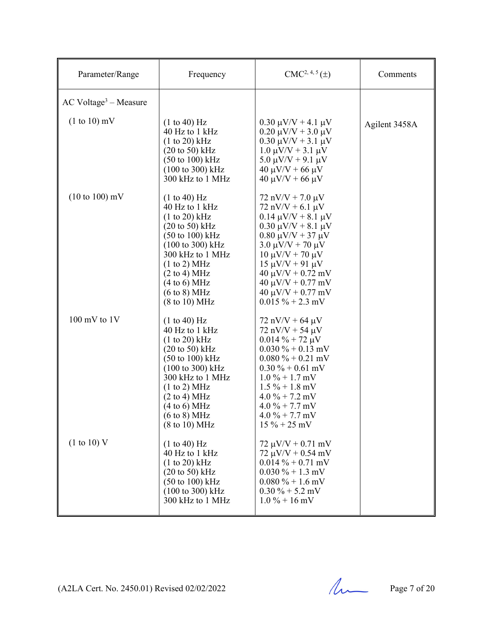| Parameter/Range                   | Frequency                                                                                                                                                                                                                                                                                                                         | $CMC2, 4, 5(\pm)$                                                                                                                                                                                                                                                                                                                          | Comments      |
|-----------------------------------|-----------------------------------------------------------------------------------------------------------------------------------------------------------------------------------------------------------------------------------------------------------------------------------------------------------------------------------|--------------------------------------------------------------------------------------------------------------------------------------------------------------------------------------------------------------------------------------------------------------------------------------------------------------------------------------------|---------------|
| $AC Voltage3 - Measure$           |                                                                                                                                                                                                                                                                                                                                   |                                                                                                                                                                                                                                                                                                                                            |               |
| $(1 to 10)$ mV                    | (1 to 40) Hz<br>40 Hz to 1 kHz<br>$(1 to 20)$ kHz<br>$(20 \text{ to } 50) \text{ kHz}$<br>$(50 \text{ to } 100) \text{ kHz}$<br>$(100 \text{ to } 300) \text{ kHz}$<br>300 kHz to 1 MHz                                                                                                                                           | $0.30 \mu V/V + 4.1 \mu V$<br>$0.20 \mu V/V + 3.0 \mu V$<br>$0.30 \mu V/V + 3.1 \mu V$<br>$1.0 \mu V/V + 3.1 \mu V$<br>5.0 $\mu$ V/V + 9.1 $\mu$ V<br>$40 \mu V/V + 66 \mu V$<br>$40 \mu V/V + 66 \mu V$                                                                                                                                   | Agilent 3458A |
| $(10 \text{ to } 100) \text{ mV}$ | (1 to 40) Hz<br>40 Hz to 1 kHz<br>$(1 to 20)$ kHz<br>$(20 \text{ to } 50)$ kHz<br>$(50 \text{ to } 100) \text{ kHz}$<br>(100 to 300) kHz<br>300 kHz to 1 MHz<br>(1 to 2) MHz<br>$(2 \text{ to } 4) \text{ MHz}$<br>(4 to 6) MHz<br>$(6 \text{ to } 8) \text{ MHz}$<br>$(8 \text{ to } 10) \text{ MHz}$                            | $72 nV/V + 7.0 \mu V$<br>$72 nV/V + 6.1 \mu V$<br>$0.14 \mu V/V + 8.1 \mu V$<br>$0.30 \mu V/V + 8.1 \mu V$<br>$0.80 \mu V/V + 37 \mu V$<br>$3.0 \mu V/V + 70 \mu V$<br>$10 \mu V/V + 70 \mu V$<br>$15 \mu V/V + 91 \mu V$<br>$40 \mu V/V + 0.72 \ mV$<br>$40 \mu V/V + 0.77 \text{ mV}$<br>$40 \mu V/V + 0.77 \ mV$<br>$0.015 \% + 2.3$ mV |               |
| $100$ mV to $1V$                  | (1 to 40) Hz<br>40 Hz to 1 kHz<br>$(1 to 20)$ kHz<br>$(20 \text{ to } 50) \text{ kHz}$<br>$(50 \text{ to } 100) \text{ kHz}$<br>$(100 \text{ to } 300) \text{ kHz}$<br>300 kHz to 1 MHz<br>(1 to 2) MHz<br>$(2 \text{ to } 4) \text{ MHz}$<br>(4 to 6) MHz<br>$(6 \text{ to } 8) \text{ MHz}$<br>$(8 \text{ to } 10) \text{ MHz}$ | $72 nV/V + 64 \mu V$<br>$72 nV/V + 54 \mu V$<br>$0.014 \% + 72 \mu V$<br>$0.030\% + 0.13$ mV<br>$0.080\% + 0.21$ mV<br>$0.30\% + 0.61$ mV<br>$1.0\% + 1.7$ mV<br>$1.5\% + 1.8$ mV<br>$4.0\% + 7.2$ mV<br>$4.0\% + 7.7$ mV<br>$4.0\% + 7.7$ mV<br>$15\% + 25\ mV$                                                                           |               |
| (1 to 10) V                       | (1 to 40) Hz<br>40 Hz to 1 kHz<br>$(1 to 20)$ kHz<br>$(20 \text{ to } 50)$ kHz<br>$(50 \text{ to } 100) \text{ kHz}$<br>$(100 \text{ to } 300) \text{ kHz}$<br>300 kHz to 1 MHz                                                                                                                                                   | $72 \mu V/V + 0.71 \ mV$<br>$72 \mu V/V + 0.54 \ mV$<br>$0.014 \% + 0.71$ mV<br>$0.030\% + 1.3$ mV<br>$0.080\% + 1.6$ mV<br>$0.30\% + 5.2$ mV<br>$1.0\% + 16$ mV                                                                                                                                                                           |               |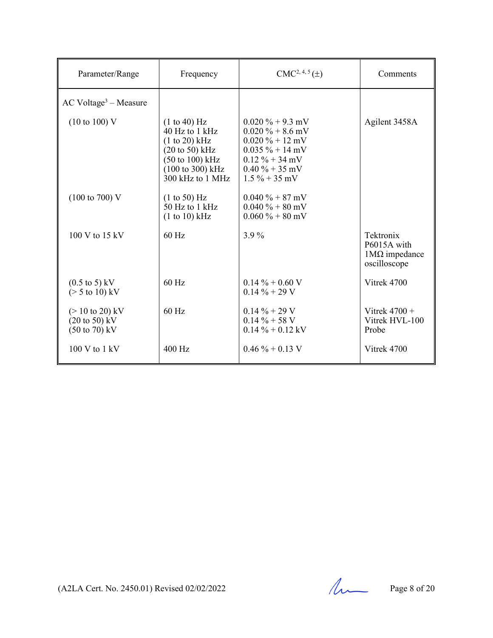| Parameter/Range                                                                                            | Frequency                                                                                                                                                    | $CMC2, 4, 5(\pm)$                                                                                                                                  | Comments                                                         |
|------------------------------------------------------------------------------------------------------------|--------------------------------------------------------------------------------------------------------------------------------------------------------------|----------------------------------------------------------------------------------------------------------------------------------------------------|------------------------------------------------------------------|
| $AC$ Voltage <sup>3</sup> – Measure                                                                        |                                                                                                                                                              |                                                                                                                                                    |                                                                  |
| $(10 \text{ to } 100)$ V                                                                                   | (1 to 40) Hz<br>40 Hz to 1 kHz<br>$(1 to 20)$ kHz<br>$(20 \text{ to } 50)$ kHz<br>$(50 \text{ to } 100) \text{ kHz}$<br>(100 to 300) kHz<br>300 kHz to 1 MHz | $0.020 \% + 9.3$ mV<br>$0.020 \% + 8.6$ mV<br>$0.020 \% + 12$ mV<br>$0.035 \% + 14$ mV<br>$0.12 \% + 34 mV$<br>$0.40\% + 35$ mV<br>$1.5\% + 35$ mV | Agilent 3458A                                                    |
| $(100 \text{ to } 700)$ V                                                                                  | (1 to 50) Hz<br>50 Hz to 1 kHz<br>(1 to 10) kHz                                                                                                              | $0.040\% + 87$ mV<br>$0.040 \% + 80$ mV<br>$0.060\% + 80$ mV                                                                                       |                                                                  |
| $100$ V to $15$ kV                                                                                         | $60$ Hz                                                                                                                                                      | $3.9\%$                                                                                                                                            | Tektronix<br>P6015A with<br>$1M\Omega$ impedance<br>oscilloscope |
| $(0.5 \text{ to } 5) \text{ kV}$<br>$(> 5 \text{ to } 10) \text{ kV}$                                      | 60 Hz                                                                                                                                                        | $0.14\% + 0.60$ V<br>$0.14\% + 29V$                                                                                                                | Vitrek 4700                                                      |
| $(> 10 \text{ to } 20) \text{ kV}$<br>$(20 \text{ to } 50) \text{ kV}$<br>$(50 \text{ to } 70) \text{ kV}$ | $60$ Hz                                                                                                                                                      | $0.14 \% + 29 V$<br>$0.14 \% + 58 V$<br>$0.14 \% + 0.12$ kV                                                                                        | Vitrek $4700 +$<br>Vitrek HVL-100<br>Probe                       |
| $100 V$ to $1 kV$                                                                                          | 400 Hz                                                                                                                                                       | $0.46 \% + 0.13$ V                                                                                                                                 | Vitrek 4700                                                      |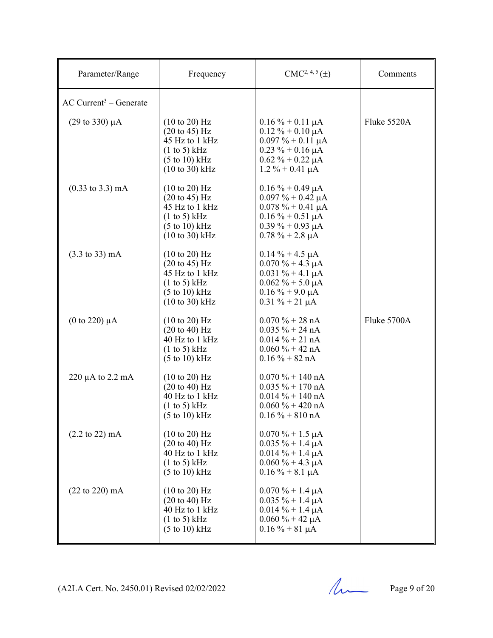| Parameter/Range                      | Frequency                                                                                                                                                       | $CMC2, 4, 5(\pm)$                                                                                                                                        | Comments    |
|--------------------------------------|-----------------------------------------------------------------------------------------------------------------------------------------------------------------|----------------------------------------------------------------------------------------------------------------------------------------------------------|-------------|
| $AC$ Current <sup>3</sup> – Generate |                                                                                                                                                                 |                                                                                                                                                          |             |
| $(29 \text{ to } 330) \mu\text{A}$   | $(10 \text{ to } 20)$ Hz<br>$(20 \text{ to } 45) \text{ Hz}$<br>45 Hz to 1 kHz<br>(1 to 5) kHz<br>$(5 \text{ to } 10) \text{ kHz}$<br>$(10 \text{ to } 30)$ kHz | $0.16 \% + 0.11 \mu A$<br>$0.12 \% + 0.10 \mu A$<br>$0.097 \% + 0.11 \mu A$<br>$0.23 \% + 0.16 \mu A$<br>$0.62 \% + 0.22 \mu A$<br>$1.2 \% + 0.41 \mu A$ | Fluke 5520A |
| $(0.33 \text{ to } 3.3) \text{ mA}$  | $(10 \text{ to } 20)$ Hz<br>$(20 \text{ to } 45) \text{ Hz}$<br>45 Hz to 1 kHz<br>(1 to 5) kHz<br>$(5 \text{ to } 10) \text{ kHz}$<br>$(10 to 30)$ kHz          | $0.16 \% + 0.49 \mu A$<br>$0.097\% + 0.42 \mu A$<br>$0.078 \% + 0.41 \mu A$<br>$0.16\% + 0.51 \mu A$<br>$0.39\% + 0.93 \mu A$<br>$0.78 \% + 2.8 \mu A$   |             |
| $(3.3 \text{ to } 33) \text{ mA}$    | (10 to 20) Hz<br>$(20 \text{ to } 45) \text{ Hz}$<br>45 Hz to 1 kHz<br>(1 to 5) kHz<br>$(5 \text{ to } 10) \text{ kHz}$<br>$(10 \text{ to } 30) \text{ kHz}$    | $0.14\% + 4.5 \mu A$<br>$0.070 \% + 4.3 \mu A$<br>$0.031 \% + 4.1 \mu A$<br>$0.062 \% + 5.0 \mu A$<br>$0.16\% + 9.0 \mu A$<br>$0.31 \% + 21 \mu A$       |             |
| $(0 \text{ to } 220) \mu A$          | $(10 \text{ to } 20)$ Hz<br>$(20 \text{ to } 40) \text{ Hz}$<br>40 Hz to 1 kHz<br>$(1 \text{ to } 5)$ kHz<br>$(5 \text{ to } 10) \text{ kHz}$                   | $0.070 \% + 28 nA$<br>$0.035 \% + 24 nA$<br>$0.014 \% + 21 nA$<br>$0.060 \% + 42 nA$<br>$0.16\% + 82 \text{ nA}$                                         | Fluke 5700A |
| 220 $\mu$ A to 2.2 mA                | $(10 \text{ to } 20)$ Hz<br>$(20 \text{ to } 40) \text{ Hz}$<br>40 Hz to 1 kHz<br>(1 to 5) kHz<br>$(5 \text{ to } 10) \text{ kHz}$                              | $0.070\% + 140\text{ nA}$<br>$0.035 \% + 170 \text{ nA}$<br>$0.014 \% + 140 nA$<br>$0.060 \% + 420 nA$<br>$0.16 \% + 810 nA$                             |             |
| $(2.2 \text{ to } 22) \text{ mA}$    | $(10 \text{ to } 20)$ Hz<br>$(20 \text{ to } 40) \text{ Hz}$<br>40 Hz to 1 kHz<br>$(1 \text{ to } 5)$ kHz<br>$(5 \text{ to } 10) \text{ kHz}$                   | $0.070\% + 1.5 \mu A$<br>$0.035 \% + 1.4 \mu A$<br>$0.014 \% + 1.4 \mu A$<br>$0.060\% + 4.3 \mu A$<br>$0.16 \% + 8.1 \mu A$                              |             |
| $(22 \text{ to } 220) \text{ mA}$    | $(10 \text{ to } 20)$ Hz<br>$(20 \text{ to } 40) \text{ Hz}$<br>40 Hz to 1 kHz<br>(1 to 5) kHz<br>$(5 \text{ to } 10) \text{ kHz}$                              | $0.070 \% + 1.4 \mu A$<br>$0.035 \% + 1.4 \mu A$<br>$0.014 \% + 1.4 \mu A$<br>$0.060 \% + 42 \mu A$<br>$0.16 \% + 81 \mu A$                              |             |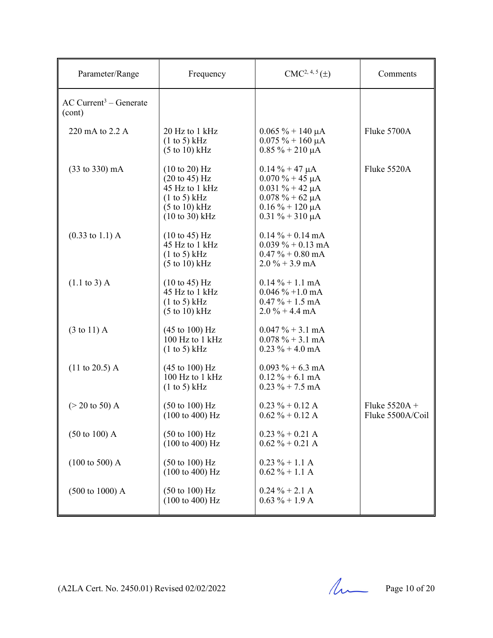| Parameter/Range                                | Frequency                                                                                                                                              | $CMC2, 4, 5(\pm)$                                                                                                                               | Comments                            |
|------------------------------------------------|--------------------------------------------------------------------------------------------------------------------------------------------------------|-------------------------------------------------------------------------------------------------------------------------------------------------|-------------------------------------|
| $AC$ Current <sup>3</sup> – Generate<br>(cont) |                                                                                                                                                        |                                                                                                                                                 |                                     |
| 220 mA to 2.2 A                                | 20 Hz to 1 kHz<br>(1 to 5) kHz<br>$(5 \text{ to } 10) \text{ kHz}$                                                                                     | $0.065 \% + 140 \mu A$<br>$0.075 \% + 160 \mu A$<br>$0.85\% + 210 \mu A$                                                                        | Fluke 5700A                         |
| $(33 \text{ to } 330) \text{ mA}$              | $(10 \text{ to } 20)$ Hz<br>$(20 \text{ to } 45) \text{ Hz}$<br>45 Hz to 1 kHz<br>(1 to 5) kHz<br>$(5 \text{ to } 10) \text{ kHz}$<br>$(10 to 30)$ kHz | $0.14\% + 47 \mu A$<br>$0.070 \% + 45 \mu A$<br>$0.031 \% + 42 \mu A$<br>$0.078 \% + 62 \mu A$<br>$0.16\% + 120 \mu A$<br>$0.31 \% + 310 \mu A$ | Fluke 5520A                         |
| $(0.33 \text{ to } 1.1) \text{ A}$             | $(10 \text{ to } 45) \text{ Hz}$<br>45 Hz to 1 kHz<br>(1 to 5) kHz<br>$(5 to 10)$ kHz                                                                  | $0.14 \% + 0.14 mA$<br>$0.039\% + 0.13 \text{ mA}$<br>$0.47 \% + 0.80$ mA<br>$2.0\% + 3.9 \text{ mA}$                                           |                                     |
| $(1.1 \text{ to } 3)$ A                        | (10 to 45) Hz<br>45 Hz to 1 kHz<br>(1 to 5) kHz<br>$(5 \text{ to } 10) \text{ kHz}$                                                                    | $0.14\% + 1.1 \text{ mA}$<br>$0.046\% + 1.0 \text{ mA}$<br>$0.47 \% + 1.5 \text{ mA}$<br>$2.0\% + 4.4 \text{ mA}$                               |                                     |
| $(3 \text{ to } 11)$ A                         | $(45 \text{ to } 100) \text{ Hz}$<br>100 Hz to 1 kHz<br>$(1 \text{ to } 5)$ kHz                                                                        | $0.047 \% + 3.1 mA$<br>$0.078 \% + 3.1 mA$<br>$0.23 \% + 4.0 mA$                                                                                |                                     |
| $(11 \text{ to } 20.5)$ A                      | $(45 \text{ to } 100) \text{ Hz}$<br>100 Hz to 1 kHz<br>$(1 \text{ to } 5)$ kHz                                                                        | $0.093 \% + 6.3 \text{ mA}$<br>$0.12 \% + 6.1 mA$<br>$0.23 \% + 7.5 \text{ mA}$                                                                 |                                     |
| $(> 20 \text{ to } 50)$ A                      | $(50 \text{ to } 100) \text{ Hz}$<br>$(100 \text{ to } 400) \text{ Hz}$                                                                                | $0.23 \% + 0.12 A$<br>$0.62 \% + 0.12 A$                                                                                                        | Fluke $5520A +$<br>Fluke 5500A/Coil |
| $(50 \text{ to } 100)$ A                       | $(50 \text{ to } 100) \text{ Hz}$<br>$(100 \text{ to } 400) \text{ Hz}$                                                                                | $0.23 \% + 0.21 A$<br>$0.62 \% + 0.21 A$                                                                                                        |                                     |
| $(100 \text{ to } 500)$ A                      | $(50 \text{ to } 100) \text{ Hz}$<br>(100 to 400) Hz                                                                                                   | $0.23 \% + 1.1 A$<br>$0.62 \% + 1.1 A$                                                                                                          |                                     |
| $(500 \text{ to } 1000)$ A                     | $(50 \text{ to } 100) \text{ Hz}$<br>$(100 \text{ to } 400) \text{ Hz}$                                                                                | $0.24 \% + 2.1 A$<br>$0.63 \% + 1.9 A$                                                                                                          |                                     |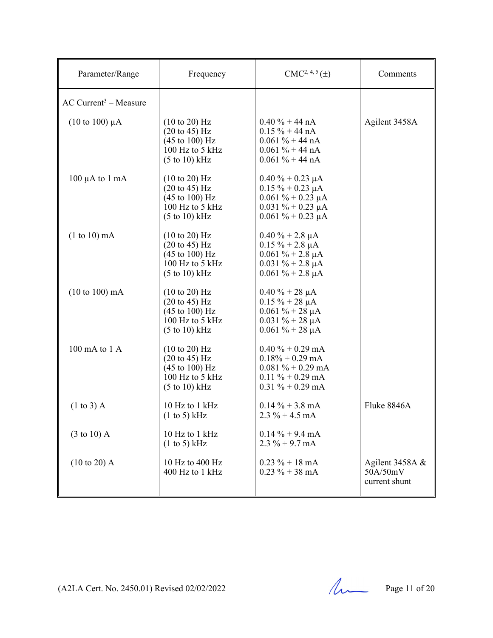| Parameter/Range                     | Frequency                                                                                                                                                | $CMC2, 4, 5(\pm)$                                                                                                                 | Comments                                     |
|-------------------------------------|----------------------------------------------------------------------------------------------------------------------------------------------------------|-----------------------------------------------------------------------------------------------------------------------------------|----------------------------------------------|
| $AC$ Current <sup>3</sup> – Measure |                                                                                                                                                          |                                                                                                                                   |                                              |
| $(10 \text{ to } 100) \mu A$        | $(10 \text{ to } 20)$ Hz<br>$(20 \text{ to } 45) \text{ Hz}$<br>$(45 \text{ to } 100) \text{ Hz}$<br>100 Hz to 5 kHz<br>$(5 \text{ to } 10) \text{ kHz}$ | $0.40 \% + 44 nA$<br>$0.15 \% + 44 nA$<br>$0.061 \% + 44 nA$<br>$0.061 \% + 44 nA$<br>$0.061 \% + 44 nA$                          | Agilent 3458A                                |
| $100 \mu A$ to $1 \text{ mA}$       | $(10 \text{ to } 20)$ Hz<br>$(20 \text{ to } 45) \text{ Hz}$<br>$(45 \text{ to } 100) \text{ Hz}$<br>100 Hz to 5 kHz<br>$(5 \text{ to } 10) \text{ kHz}$ | $0.40 \% + 0.23 \mu A$<br>$0.15 \% + 0.23 \mu A$<br>$0.061 \% + 0.23 \mu A$<br>$0.031 \% + 0.23 \mu A$<br>$0.061 \% + 0.23 \mu A$ |                                              |
| $(1 to 10)$ mA                      | $(10 \text{ to } 20)$ Hz<br>$(20 \text{ to } 45) \text{ Hz}$<br>$(45 \text{ to } 100) \text{ Hz}$<br>100 Hz to 5 kHz<br>$(5 \text{ to } 10) \text{ kHz}$ | $0.40 \% + 2.8 \mu A$<br>$0.15 \% + 2.8 \mu A$<br>$0.061 \% + 2.8 \mu A$<br>$0.031 \% + 2.8 \mu A$<br>$0.061 \% + 2.8 \mu A$      |                                              |
| $(10 to 100)$ mA                    | $(10 \text{ to } 20)$ Hz<br>$(20 \text{ to } 45) \text{ Hz}$<br>$(45 \text{ to } 100) \text{ Hz}$<br>100 Hz to 5 kHz<br>$(5 \text{ to } 10) \text{ kHz}$ | $0.40 \% + 28 \mu A$<br>$0.15 \% + 28 \mu A$<br>$0.061 \% + 28 \mu A$<br>$0.031 \% + 28 \mu A$<br>$0.061 \% + 28 \mu A$           |                                              |
| 100 mA to 1 A                       | $(10 \text{ to } 20)$ Hz<br>$(20 \text{ to } 45) \text{ Hz}$<br>$(45 \text{ to } 100) \text{ Hz}$<br>100 Hz to 5 kHz<br>$(5 \text{ to } 10) \text{ kHz}$ | $0.40 \% + 0.29$ mA<br>$0.18\% + 0.29$ mA<br>$0.081 \% + 0.29 \text{ mA}$<br>$0.11 \% + 0.29 mA$<br>$0.31 \% + 0.29$ mA           |                                              |
| $(1 to 3)$ A                        | 10 Hz to 1 kHz<br>$(1 \text{ to } 5)$ kHz                                                                                                                | $0.14\% + 3.8 \text{ mA}$<br>$2.3\% + 4.5 \text{ mA}$                                                                             | Fluke 8846A                                  |
| $(3 \text{ to } 10)$ A              | 10 Hz to 1 kHz<br>(1 to 5) kHz                                                                                                                           | $0.14 \% + 9.4 mA$<br>$2.3\% + 9.7 \text{ mA}$                                                                                    |                                              |
| $(10 to 20)$ A                      | 10 Hz to 400 Hz<br>400 Hz to 1 kHz                                                                                                                       | $0.23 \% + 18 \text{ mA}$<br>$0.23 \% + 38 mA$                                                                                    | Agilent 3458A &<br>50A/50mV<br>current shunt |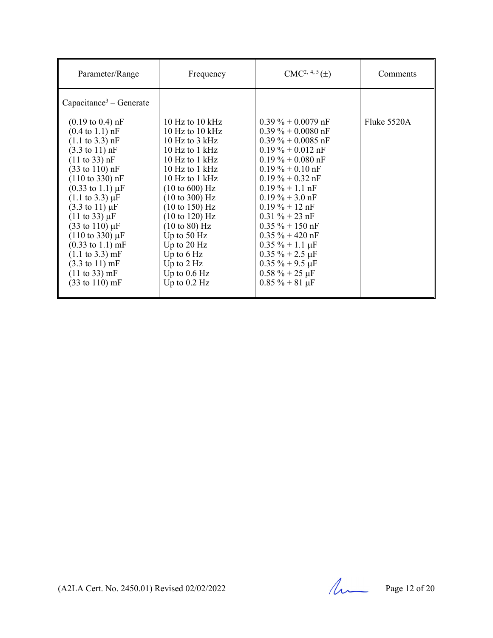| Parameter/Range                                                                                                                                                                                                                                                                                                                                                                                                                                                                                                                                                                                                                                                                 | Frequency                                                                                                                                                                                                                                                                                                                                                                                                                       | $CMC2, 4, 5(\pm)$                                                                                                                                                                                                                                                                                                                                                                                                                 | Comments    |
|---------------------------------------------------------------------------------------------------------------------------------------------------------------------------------------------------------------------------------------------------------------------------------------------------------------------------------------------------------------------------------------------------------------------------------------------------------------------------------------------------------------------------------------------------------------------------------------------------------------------------------------------------------------------------------|---------------------------------------------------------------------------------------------------------------------------------------------------------------------------------------------------------------------------------------------------------------------------------------------------------------------------------------------------------------------------------------------------------------------------------|-----------------------------------------------------------------------------------------------------------------------------------------------------------------------------------------------------------------------------------------------------------------------------------------------------------------------------------------------------------------------------------------------------------------------------------|-------------|
| Capacitance <sup>3</sup> – Generate                                                                                                                                                                                                                                                                                                                                                                                                                                                                                                                                                                                                                                             |                                                                                                                                                                                                                                                                                                                                                                                                                                 |                                                                                                                                                                                                                                                                                                                                                                                                                                   |             |
| $(0.19 \text{ to } 0.4) \text{ nF}$<br>$(0.4 \text{ to } 1.1) \text{ nF}$<br>$(1.1 \text{ to } 3.3) \text{ nF}$<br>$(3.3 \text{ to } 11) \text{ nF}$<br>$(11 \text{ to } 33) \text{ nF}$<br>$(33 \text{ to } 110) \text{ nF}$<br>$(110 \text{ to } 330) \text{ nF}$<br>$(0.33 \text{ to } 1.1) \mu\text{F}$<br>$(1.1 \text{ to } 3.3) \mu F$<br>$(3.3 \text{ to } 11) \mu F$<br>$(11 \text{ to } 33) \mu F$<br>$(33 \text{ to } 110) \,\mu\text{F}$<br>$(110 \text{ to } 330) \mu F$<br>$(0.33 \text{ to } 1.1) \text{ mF}$<br>$(1.1 \text{ to } 3.3) \text{ mF}$<br>$(3.3 \text{ to } 11) \text{ mF}$<br>$(11 \text{ to } 33) \text{ mF}$<br>$(33 \text{ to } 110) \text{ mF}$ | $10 \text{ Hz}$ to $10 \text{ kHz}$<br>10 Hz to 10 $kHz$<br>10 Hz to $3$ kHz<br>10 Hz to $1$ kHz<br>10 Hz to $1$ kHz<br>10 Hz to $1$ kHz<br>10 Hz to $1$ kHz<br>$(10 \text{ to } 600) \text{ Hz}$<br>$(10 \text{ to } 300) \text{ Hz}$<br>(10 to 150) Hz<br>$(10 \text{ to } 120) \text{ Hz}$<br>$(10 \text{ to } 80)$ Hz<br>Up to $50$ Hz<br>Up to $20$ Hz<br>Up to $6$ Hz<br>Up to $2$ Hz<br>Up to $0.6$ Hz<br>Up to $0.2$ Hz | $0.39\% + 0.0079$ nF<br>$0.39\% + 0.0080$ nF<br>$0.39\% + 0.0085$ nF<br>$0.19\% + 0.012$ nF<br>$0.19\% + 0.080$ nF<br>$0.19\% + 0.10$ nF<br>$0.19\% + 0.32$ nF<br>$0.19\% + 1.1$ nF<br>$0.19\% + 3.0$ nF<br>$0.19 \% + 12 \text{ nF}$<br>$0.31 \% + 23 nF$<br>$0.35 \% + 150$ nF<br>$0.35 \% + 420$ nF<br>$0.35 \% + 1.1 \mu F$<br>$0.35 \% + 2.5 \mu F$<br>$0.35 \% + 9.5 \mu F$<br>$0.58 \% + 25 \mu F$<br>$0.85 \% + 81 \mu F$ | Fluke 5520A |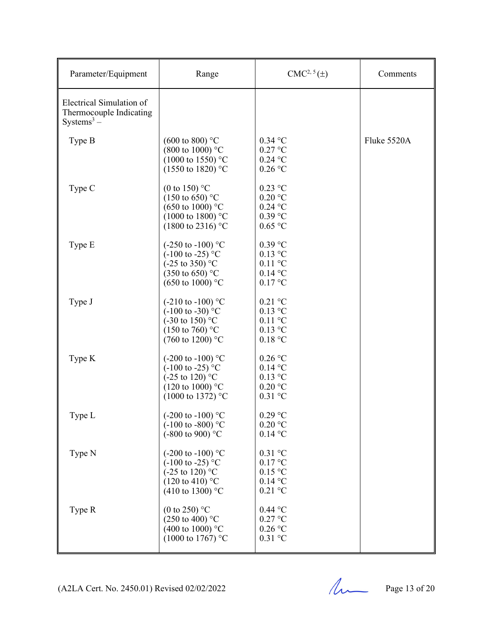| Parameter/Equipment                                                           | Range                                                                                                                                                        | $CMC2, 5(\pm)$                                                | Comments    |
|-------------------------------------------------------------------------------|--------------------------------------------------------------------------------------------------------------------------------------------------------------|---------------------------------------------------------------|-------------|
| Electrical Simulation of<br>Thermocouple Indicating<br>Systems <sup>3</sup> – |                                                                                                                                                              |                                                               |             |
| Type B                                                                        | $(600 \text{ to } 800)$ °C<br>$(800 \text{ to } 1000)$ °C<br>$(1000 \text{ to } 1550)$ °C<br>$(1550 \text{ to } 1820)$ °C                                    | $0.34$ °C<br>$0.27$ °C<br>$0.24$ °C<br>$0.26$ °C              | Fluke 5520A |
| Type C                                                                        | (0 to 150) $^{\circ}$ C<br>$(150 \text{ to } 650)$ °C<br>$(650 \text{ to } 1000)$ °C<br>$(1000 \text{ to } 1800)$ °C<br>$(1800 \text{ to } 2316)$ °C         | $0.23$ °C<br>$0.20$ °C<br>$0.24$ °C<br>$0.39$ °C<br>$0.65$ °C |             |
| Type E                                                                        | $(-250 \text{ to } -100)$ °C<br>$(-100 \text{ to } -25)$ °C<br>$(-25 \text{ to } 350)$ °C<br>$(350 \text{ to } 650)$ °C<br>$(650 \text{ to } 1000)$ °C       | $0.39$ °C<br>$0.13$ °C<br>$0.11$ °C<br>$0.14$ °C<br>0.17 °C   |             |
| Type J                                                                        | $(-210 \text{ to } -100)$ °C<br>$(-100 \text{ to } -30)$ °C<br>$(-30 \text{ to } 150)$ °C<br>$(150 \text{ to } 760)$ °C<br>$(760 \text{ to } 1200)$ °C       | $0.21$ °C<br>$0.13$ °C<br>$0.11$ °C<br>$0.13$ °C<br>0.18 °C   |             |
| Type K                                                                        | $(-200 \text{ to } -100)$ °C<br>$(-100 \text{ to } -25)$ °C<br>$(-25 \text{ to } 120)$ °C<br>$(120 \text{ to } 1000)$ °C<br>$(1000 \text{ to } 1372)$ °C     | $0.26$ °C<br>$0.14$ °C<br>$0.13$ °C<br>$0.20$ °C<br>$0.31$ °C |             |
| Type L                                                                        | $(-200 \text{ to } -100)$ °C<br>$(-100 \text{ to } -800)$ °C<br>$(-800 \text{ to } 900)$ °C                                                                  | $0.29$ °C<br>$0.20$ °C<br>$0.14$ °C                           |             |
| Type N                                                                        | $(-200 \text{ to } -100)$ °C<br>$(-100 \text{ to } -25)$ °C<br>$(-25 \text{ to } 120)^{\circ}$ C<br>$(120 \text{ to } 410)$ °C<br>(410 to 1300) $^{\circ}$ C | $0.31$ °C<br>0.17 °C<br>0.15 °C<br>$0.14$ °C<br>$0.21$ °C     |             |
| Type R                                                                        | (0 to 250) $^{\circ}$ C<br>$(250 \text{ to } 400)$ °C<br>(400 to 1000) $^{\circ}$ C<br>$(1000 \text{ to } 1767)$ °C                                          | $0.44$ °C<br>$0.27$ °C<br>$0.26$ °C<br>$0.31$ °C              |             |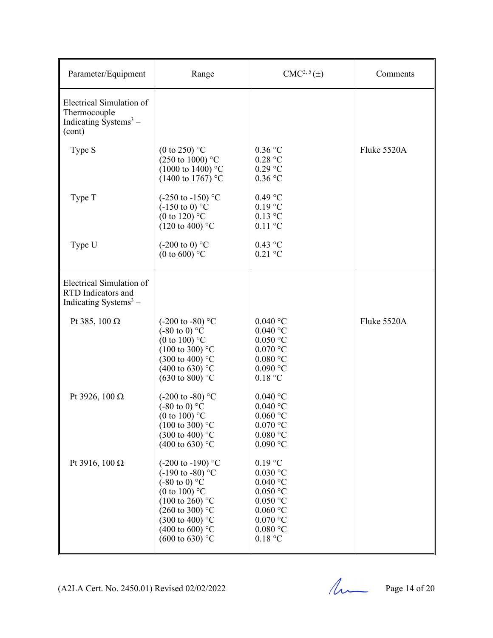| Parameter/Equipment                                                                           | Range                                                                                                                                                                                                                                                                   | CMC <sup>2, 5</sup> (±)                                                                                                                                            | Comments    |
|-----------------------------------------------------------------------------------------------|-------------------------------------------------------------------------------------------------------------------------------------------------------------------------------------------------------------------------------------------------------------------------|--------------------------------------------------------------------------------------------------------------------------------------------------------------------|-------------|
| Electrical Simulation of<br>Thermocouple<br>Indicating $\tilde{\text{Systems}}^3$ –<br>(cont) |                                                                                                                                                                                                                                                                         |                                                                                                                                                                    |             |
| Type S                                                                                        | (0 to 250) $^{\circ}$ C<br>$(250 \text{ to } 1000)$ °C<br>$(1000 \text{ to } 1400)$ °C<br>(1400 to 1767) °C                                                                                                                                                             | $0.36$ °C<br>0.28 °C<br>$0.29$ °C<br>$0.36$ °C                                                                                                                     | Fluke 5520A |
| Type T                                                                                        | $(-250 \text{ to } -150)$ °C<br>$(-150 \text{ to } 0)$ °C<br>(0 to 120) $^{\circ}$ C<br>$(120 \text{ to } 400)$ °C                                                                                                                                                      | $0.49$ °C<br>$0.19$ °C<br>$0.13$ °C<br>$0.11$ °C                                                                                                                   |             |
| Type U                                                                                        | $(-200 \text{ to } 0)$ °C<br>(0 to 600) $^{\circ}$ C                                                                                                                                                                                                                    | $0.43$ °C<br>$0.21$ °C                                                                                                                                             |             |
| Electrical Simulation of<br>RTD Indicators and<br>Indicating Systems $3-$                     |                                                                                                                                                                                                                                                                         |                                                                                                                                                                    |             |
| Pt 385, 100 $\Omega$                                                                          | $(-200 \text{ to } -80)$ °C<br>$(-80 \text{ to } 0)$ °C<br>(0 to 100) $^{\circ}$ C<br>$(100 \text{ to } 300)$ °C<br>$(300 \text{ to } 400)$ °C<br>$(400 \text{ to } 630)$ °C<br>$(630 \text{ to } 800)$ °C                                                              | $0.040$ °C<br>$0.040$ °C<br>$0.050$ °C<br>$0.070$ °C<br>$0.080\ ^{\circ}\textrm{C}$<br>$0.090$ °C<br>0.18 °C                                                       | Fluke 5520A |
| Pt 3926, 100 Ω                                                                                | $(-200 \text{ to } -80)$ °C<br>$(-80 \text{ to } 0)$ °C<br>(0 to 100) $^{\circ}$ C<br>$(100 \text{ to } 300)$ °C<br>$(300 \text{ to } 400)$ °C<br>(400 to 630) °C                                                                                                       | $0.040$ °C<br>$0.040$ °C<br>$0.060$ °C<br>$0.070$ °C<br>$0.080$ °C<br>$0.090\ ^{\circ}\textrm{C}$                                                                  |             |
| Pt 3916, 100 Ω                                                                                | $(-200 \text{ to } -190)$ °C<br>$(-190 \text{ to } -80)$ °C<br>$(-80 \text{ to } 0)$ °C<br>(0 to 100) $^{\circ}$ C<br>$(100 \text{ to } 260)$ °C<br>$(260 \text{ to } 300)$ °C<br>$(300 \text{ to } 400)$ °C<br>(400 to 600) $^{\circ}$ C<br>$(600 \text{ to } 630)$ °C | $0.19$ °C<br>$0.030$ °C<br>$0.040$ °C<br>$0.050$ $^{\circ}$ C<br>$0.050\ ^{\circ}\mathrm{C}$<br>$0.060$ °C<br>$0.070\ ^{\circ}\textrm{C}$<br>$0.080$ °C<br>0.18 °C |             |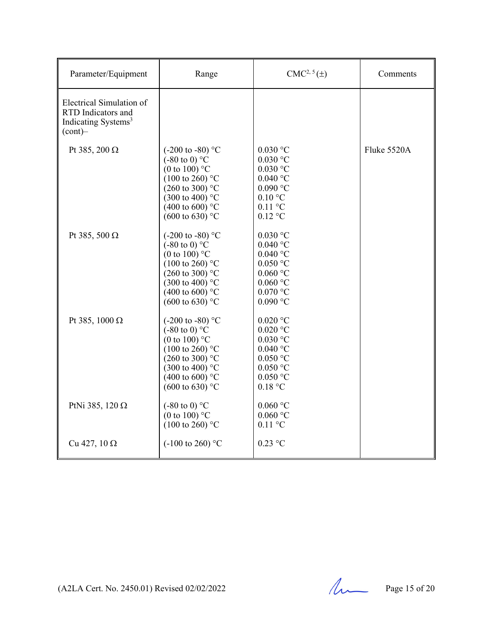| Parameter/Equipment                                                                             | Range                                                                                                                                                                                                                                   | $CMC2, 5(\pm)$                                                                                                                                           | Comments    |
|-------------------------------------------------------------------------------------------------|-----------------------------------------------------------------------------------------------------------------------------------------------------------------------------------------------------------------------------------------|----------------------------------------------------------------------------------------------------------------------------------------------------------|-------------|
| Electrical Simulation of<br>RTD Indicators and<br>Indicating Systems <sup>3</sup><br>$(cont)$ - |                                                                                                                                                                                                                                         |                                                                                                                                                          |             |
| Pt 385, 200 $\Omega$                                                                            | (-200 to -80) $^{\circ}$ C<br>$(-80 \text{ to } 0)$ °C<br>(0 to 100) $^{\circ}$ C<br>$(100 \text{ to } 260)$ °C<br>$(260 \text{ to } 300)$ °C<br>$(300 \text{ to } 400)$ °C<br>$(400 \text{ to } 600)$ °C<br>$(600 \text{ to } 630)$ °C | $0.030$ °C<br>$0.030$ °C<br>$0.030$ °C<br>$0.040\ ^{\circ}\textrm{C}$<br>$0.090$ $^{\circ}$ C<br>$0.10\text{ °C}$<br>$0.11$ °C<br>$0.12$ °C              | Fluke 5520A |
| Pt 385, 500 $\Omega$                                                                            | $(-200 \text{ to } -80)$ °C<br>$(-80 \text{ to } 0)$ °C<br>(0 to 100) $^{\circ}$ C<br>$(100 \text{ to } 260)$ °C<br>$(260 \text{ to } 300)$ °C<br>$(300 \text{ to } 400)$ °C<br>(400 to 600) $^{\circ}$ C<br>$(600 \text{ to } 630)$ °C | $0.030\ ^{\circ}\textrm{C}$<br>$0.040$ °C<br>$0.040$ °C<br>$0.050$ °C<br>$0.060$ °C<br>$0.060\ ^{\circ}\mathrm{C}$<br>$0.070$ °C<br>$0.090$ $^{\circ}$ C |             |
| Pt 385, 1000 $\Omega$                                                                           | $(-200 \text{ to } -80)$ °C<br>$(-80 \text{ to } 0)$ °C<br>(0 to 100) $^{\circ}$ C<br>$(100 \text{ to } 260)$ °C<br>$(260 \text{ to } 300)$ °C<br>$(300 \text{ to } 400)$ °C<br>(400 to 600) $^{\circ}$ C<br>$(600 \text{ to } 630)$ °C | $0.020\ ^{\circ}\textrm{C}$<br>$0.020$ °C<br>$0.030$ °C<br>$0.040\ ^{\circ}\mathrm{C}$<br>$0.050$ °C<br>$0.050$ °C<br>$0.050$ °C<br>0.18 °C              |             |
| PtNi 385, 120 $\Omega$                                                                          | $(-80 \text{ to } 0)$ °C<br>(0 to 100) $^{\circ}$ C<br>$(100 \text{ to } 260)$ °C                                                                                                                                                       | $0.060$ °C<br>$0.060$ °C<br>$0.11$ °C                                                                                                                    |             |
| Cu 427, 10 $\Omega$                                                                             | $(-100 \text{ to } 260)$ °C                                                                                                                                                                                                             | $0.23$ °C                                                                                                                                                |             |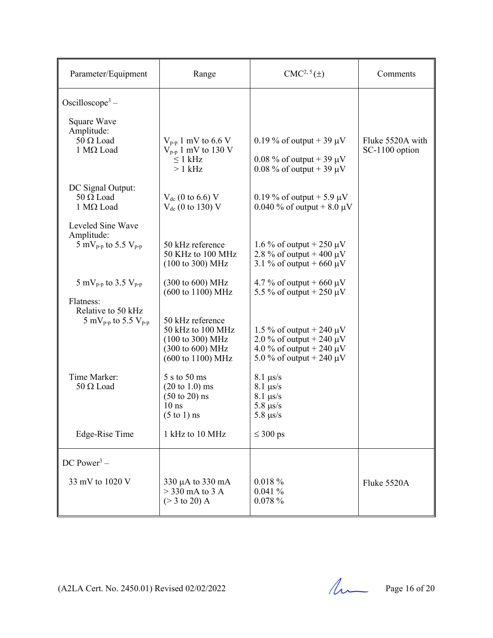| Parameter/Equipment                                                                                                           | Range                                                                                                              | $CMC2, 5(\pm)$                                                                                  | Comments                           |
|-------------------------------------------------------------------------------------------------------------------------------|--------------------------------------------------------------------------------------------------------------------|-------------------------------------------------------------------------------------------------|------------------------------------|
| Oscilloscope <sup>3</sup> –                                                                                                   |                                                                                                                    |                                                                                                 |                                    |
| Square Wave<br>Amplitude:<br>$50 \Omega$ Load<br>$1$ M $\Omega$ Load                                                          | $V_{\text{p-p}}$ 1 mV to 6.6 V<br>$V_{p-p}$ 1 mV to 130 V<br>$\leq 1$ kHz<br>$>1$ kHz                              | 0.19 % of output + 39 $\mu$ V<br>0.08 % of output + 39 $\mu$ V<br>0.08 % of output + 39 $\mu$ V | Fluke 5520A with<br>SC-1100 option |
| DC Signal Output:<br>$50 \Omega$ Load<br>$1 \text{ M}\Omega$ Load                                                             | $V_{dc}$ (0 to 6.6) V<br>$V_{dc}$ (0 to 130) V                                                                     | 0.19 % of output + 5.9 $\mu$ V<br>0.040 % of output + 8.0 $\mu$ V                               |                                    |
| Leveled Sine Wave<br>Amplitude:<br>5 mV <sub>p-p</sub> to 5.5 V <sub>p-p</sub>                                                | 50 kHz reference<br>50 KHz to 100 MHz<br>$(100 \text{ to } 300) \text{ MHz}$                                       | 1.6 % of output + 250 $\mu$ V<br>2.8 % of output + 400 $\mu$ V<br>3.1 % of output + 660 $\mu$ V |                                    |
| 5 mV <sub>p-p</sub> to 3.5 V <sub>p-p</sub><br>Flatness:<br>Relative to 50 kHz<br>5 mV <sub>p-p</sub> to 5.5 V <sub>p-p</sub> | (300 to 600) MHz<br>(600 to 1100) MHz<br>50 kHz reference<br>50 kHz to 100 MHz                                     | 4.7 % of output + 660 $\mu$ V<br>5.5 % of output + 250 $\mu$ V<br>1.5 % of output + 240 $\mu$ V |                                    |
|                                                                                                                               | $(100 \text{ to } 300) \text{ MHz}$<br>(300 to 600) MHz<br>(600 to 1100) MHz                                       | 2.0 % of output + 240 $\mu$ V<br>4.0 % of output + 240 $\mu$ V<br>5.0 % of output + 240 $\mu$ V |                                    |
| Time Marker:<br>$50 \Omega$ Load                                                                                              | 5 s to 50 ms<br>$(20 \text{ to } 1.0) \text{ ms}$<br>$(50 \text{ to } 20)$ ns<br>$10$ ns<br>$(5 \text{ to } 1)$ ns | $8.1 \ \mu s/s$<br>$8.1 \ \mu s/s$<br>$8.1 \ \mu s/s$<br>$5.8 \ \mu s/s$<br>$5.8 \ \mu s/s$     |                                    |
| Edge-Rise Time                                                                                                                | 1 kHz to 10 MHz                                                                                                    | $\leq 300$ ps                                                                                   |                                    |
| DC Power <sup>3</sup> –                                                                                                       |                                                                                                                    |                                                                                                 |                                    |
| 33 mV to 1020 V                                                                                                               | $330 \mu A$ to $330 \text{ mA}$<br>$>$ 330 mA to 3 A<br>$(> 3 \text{ to } 20)$ A                                   | $0.018 \%$<br>0.041%<br>0.078%                                                                  | Fluke 5520A                        |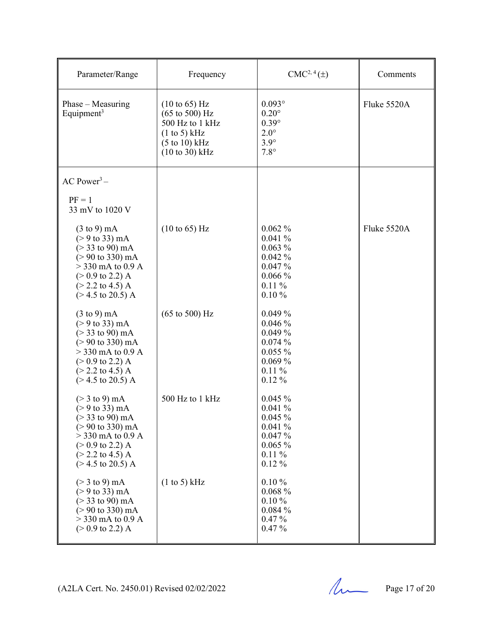| Parameter/Range                                                                                                                                                                                                                                                                               | Frequency                                                                                                                                                         | $CMC2, 4(\pm)$                                                                             | Comments    |
|-----------------------------------------------------------------------------------------------------------------------------------------------------------------------------------------------------------------------------------------------------------------------------------------------|-------------------------------------------------------------------------------------------------------------------------------------------------------------------|--------------------------------------------------------------------------------------------|-------------|
| $Phase - Measuring$<br>Equipment <sup>3</sup>                                                                                                                                                                                                                                                 | $(10 \text{ to } 65)$ Hz<br>$(65 \text{ to } 500) \text{ Hz}$<br>500 Hz to 1 kHz<br>(1 to 5) kHz<br>$(5 \text{ to } 10) \text{ kHz}$<br>$(10 \text{ to } 30)$ kHz | $0.093^\circ$<br>$0.20^\circ$<br>$0.39^\circ$<br>$2.0^\circ$<br>$3.9^\circ$<br>$7.8^\circ$ | Fluke 5520A |
| $AC Power3 -$                                                                                                                                                                                                                                                                                 |                                                                                                                                                                   |                                                                                            |             |
| $PF = 1$<br>33 mV to 1020 V                                                                                                                                                                                                                                                                   |                                                                                                                                                                   |                                                                                            |             |
| $(3 \text{ to } 9) \text{ mA}$<br>$(> 9 \text{ to } 33) \text{ mA}$<br>$(> 33 \text{ to } 90) \text{ mA}$<br>$(>90 \text{ to } 330) \text{ mA}$<br>$>$ 330 mA to 0.9 A<br>$(> 0.9 \text{ to } 2.2) \text{ A}$<br>$(> 2.2 \text{ to } 4.5) \text{ A}$<br>$(>4.5 \text{ to } 20.5) \text{ A}$   | $(10 \text{ to } 65)$ Hz                                                                                                                                          | $0.062\%$<br>0.041%<br>$0.063\%$<br>0.042%<br>0.047%<br>0.066%<br>$0.11\%$<br>$0.10 \%$    | Fluke 5520A |
| $(3 \text{ to } 9) \text{ mA}$<br>$(> 9 \text{ to } 33) \text{ mA}$<br>$(> 33$ to 90) mA<br>$(>90 \text{ to } 330) \text{ mA}$<br>$>$ 330 mA to 0.9 A<br>$(> 0.9 \text{ to } 2.2) \text{ A}$<br>$(> 2.2 \text{ to } 4.5) \text{ A}$<br>$(>4.5 \text{ to } 20.5) \text{ A}$                    | $(65 \text{ to } 500) \text{ Hz}$                                                                                                                                 | $0.049\%$<br>0.046%<br>0.049%<br>0.074%<br>$0.055\%$<br>$0.069\%$<br>$0.11\%$<br>$0.12\%$  |             |
| $(> 3 \text{ to } 9) \text{ mA}$<br>$(> 9 \text{ to } 33) \text{ mA}$<br>$(> 33 \text{ to } 90) \text{ mA}$<br>$(>90 \text{ to } 330) \text{ mA}$<br>$>$ 330 mA to 0.9 A<br>$(> 0.9 \text{ to } 2.2) \text{ A}$<br>$(> 2.2 \text{ to } 4.5) \text{ A}$<br>$(>4.5 \text{ to } 20.5) \text{ A}$ | 500 Hz to 1 kHz                                                                                                                                                   | 0.045%<br>0.041%<br>0.045%<br>0.041%<br>0.047%<br>$0.065\%$<br>$0.11\%$<br>$0.12\%$        |             |
| $(> 3 \text{ to } 9) \text{ mA}$<br>$(> 9 \text{ to } 33) \text{ mA}$<br>$(> 33 \text{ to } 90) \text{ mA}$<br>$(>90 \text{ to } 330) \text{ mA}$<br>$>$ 330 mA to 0.9 A<br>$(> 0.9 \text{ to } 2.2) \text{ A}$                                                                               | (1 to 5) kHz                                                                                                                                                      | $0.10 \%$<br>$0.068\%$<br>$0.10 \%$<br>0.084%<br>$0.47\%$<br>$0.47\%$                      |             |

 $(A2LA$  Cert. No. 2450.01) Revised 02/02/2022 Page 17 of 20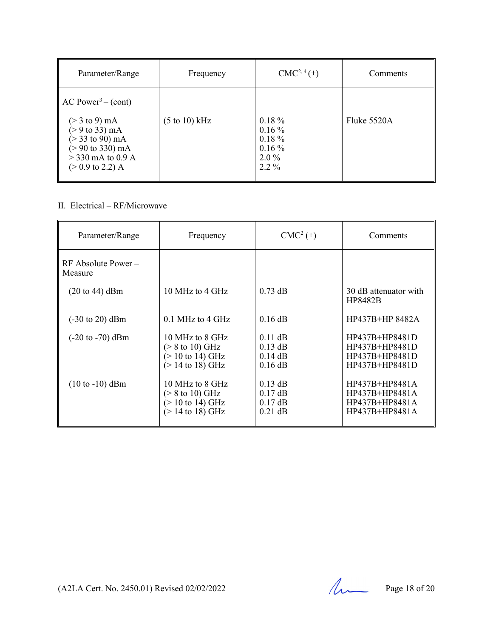| Parameter/Range                                                                                                                                                                                                                         | Frequency                        | $CMC2, 4(\pm)$                                                       | Comments    |
|-----------------------------------------------------------------------------------------------------------------------------------------------------------------------------------------------------------------------------------------|----------------------------------|----------------------------------------------------------------------|-------------|
| $AC Power3 - (cont)$<br>$(> 3 \text{ to } 9) \text{ mA}$<br>$(> 9 \text{ to } 33) \text{ mA}$<br>$(> 33 \text{ to } 90) \text{ mA}$<br>$(>90 \text{ to } 330) \text{ mA}$<br>$>$ 330 mA to 0.9 A<br>$(> 0.9 \text{ to } 2.2) \text{ A}$ | $(5 \text{ to } 10) \text{ kHz}$ | $0.18 \%$<br>$0.16\%$<br>$0.18 \%$<br>$0.16\%$<br>$2.0\%$<br>$2.2\%$ | Fluke 5520A |

# II. Electrical – RF/Microwave

| Parameter/Range                     | Frequency                                                                                          | $CMC2(\pm)$                                      | Comments                                                                   |
|-------------------------------------|----------------------------------------------------------------------------------------------------|--------------------------------------------------|----------------------------------------------------------------------------|
| $RF$ Absolute Power –<br>Measure    |                                                                                                    |                                                  |                                                                            |
| $(20 \text{ to } 44)$ dBm           | 10 MHz to 4 GHz                                                                                    | $0.73$ dB                                        | 30 dB attenuator with<br><b>HP8482B</b>                                    |
| $(-30 \text{ to } 20) \text{ dBm}$  | $0.1$ MHz to 4 GHz                                                                                 | $0.16$ dB                                        | HP437B+HP 8482A                                                            |
| $(-20 \text{ to } -70) \text{ dBm}$ | 10 MHz to 8 GHz<br>$($ > 8 to 10) GHz<br>$(> 10 \text{ to } 14) \text{ GHz}$<br>$(> 14$ to 18) GHz | $0.11$ dB<br>$0.13$ dB<br>$0.14$ dB<br>$0.16$ dB | $HP437B+HP8481D$<br>HP437B+HP8481D<br>HP437B+HP8481D<br>$HP437B+HP8481D$   |
| $(10 \text{ to } -10)$ dBm          | 10 MHz to 8 GHz<br>$($ > 8 to 10) GHz<br>$(> 10 \text{ to } 14) \text{ GHz}$<br>$(> 14$ to 18) GHz | $0.13$ dB<br>$0.17$ dB<br>$0.17$ dB<br>$0.21$ dB | $HP437B+HP8481A$<br>$HP437B+HP8481A$<br>HP437B+HP8481A<br>$HP437B+HP8481A$ |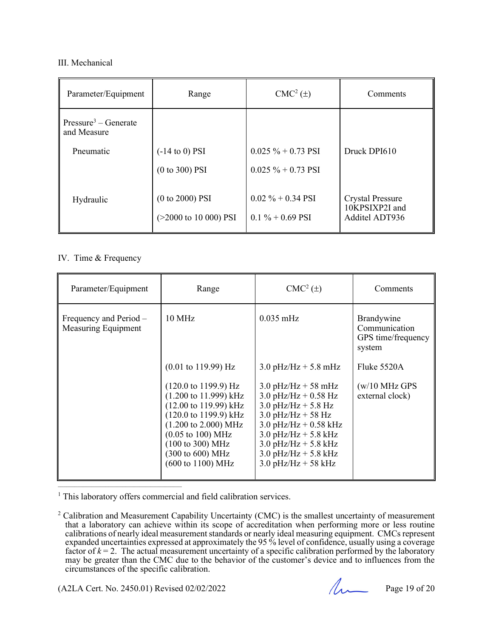### III. Mechanical

| Parameter/Equipment                             | Range                                                | $CMC2(\pm)$                               | Comments                                                    |
|-------------------------------------------------|------------------------------------------------------|-------------------------------------------|-------------------------------------------------------------|
| Pressure <sup>3</sup> – Generate<br>and Measure |                                                      |                                           |                                                             |
| Pneumatic                                       | $(-14 \text{ to } 0)$ PSI                            | $0.025 \% + 0.73$ PSI                     | Druck DPI610                                                |
|                                                 | $(0 to 300)$ PSI                                     | $0.025 \% + 0.73$ PSI                     |                                                             |
| Hydraulic                                       | $(0 to 2000)$ PSI<br>$(>2000 \text{ to } 10000)$ PSI | $0.02\% + 0.34$ PSI<br>$0.1\% + 0.69$ PSI | <b>Crystal Pressure</b><br>10KPSIXP2I and<br>Additel ADT936 |

## IV. Time & Frequency

| Parameter/Equipment                                  | Range                                                                                                                                                                                                                                                                                                                                          | $CMC2(\pm)$                                                                                                                                                                                                                          | Comments                                                    |
|------------------------------------------------------|------------------------------------------------------------------------------------------------------------------------------------------------------------------------------------------------------------------------------------------------------------------------------------------------------------------------------------------------|--------------------------------------------------------------------------------------------------------------------------------------------------------------------------------------------------------------------------------------|-------------------------------------------------------------|
| Frequency and Period –<br><b>Measuring Equipment</b> | $10 \text{ MHz}$                                                                                                                                                                                                                                                                                                                               | $0.035 \text{ mHz}$                                                                                                                                                                                                                  | Brandywine<br>Communication<br>GPS time/frequency<br>system |
|                                                      | $(0.01 \text{ to } 119.99) \text{ Hz}$                                                                                                                                                                                                                                                                                                         | $3.0$ pHz/Hz + 5.8 mHz                                                                                                                                                                                                               | Fluke 5520A                                                 |
|                                                      | $(120.0 \text{ to } 1199.9) \text{ Hz}$<br>$(1.200 \text{ to } 11.999) \text{ kHz}$<br>$(12.00 \text{ to } 119.99) \text{ kHz}$<br>$(120.0 \text{ to } 1199.9) \text{ kHz}$<br>$(1.200 \text{ to } 2.000) \text{ MHz}$<br>$(0.05 \text{ to } 100) \text{ MHz}$<br>(100 to 300) MHz<br>(300 to 600) MHz<br>$(600 \text{ to } 1100) \text{ MHz}$ | $3.0$ pHz/Hz + 58 mHz<br>3.0 pHz/Hz + $0.58$ Hz<br>3.0 $pHz/Hz + 5.8 Hz$<br>$3.0$ pHz/Hz + 58 Hz<br>3.0 pHz/Hz + $0.58$ kHz<br>$3.0$ pHz/Hz + $5.8$ kHz<br>3.0 pHz/Hz + 5.8 kHz<br>$3.0$ pHz/Hz + $5.8$ kHz<br>$3.0$ pHz/Hz + 58 kHz | $(w/10 \text{ MHz GPS})$<br>external clock)                 |

<sup>1</sup> This laboratory offers commercial and field calibration services.

 $\mathcal{L}_\text{max}$  and the contract of the contract of the contract of the contract of the contract of the contract of the contract of the contract of the contract of the contract of the contract of the contract of the contrac

<sup>&</sup>lt;sup>2</sup> Calibration and Measurement Capability Uncertainty (CMC) is the smallest uncertainty of measurement that a laboratory can achieve within its scope of accreditation when performing more or less routine calibrations of nearly ideal measurement standards or nearly ideal measuring equipment. CMCs represent expanded uncertainties expressed at approximately the 95 % level of confidence, usually using a coverage factor of  $k = 2$ . The actual measurement uncertainty of a specific calibration performed by the laboratory may be greater than the CMC due to the behavior of the customer's device and to influences from the circumstances of the specific calibration.